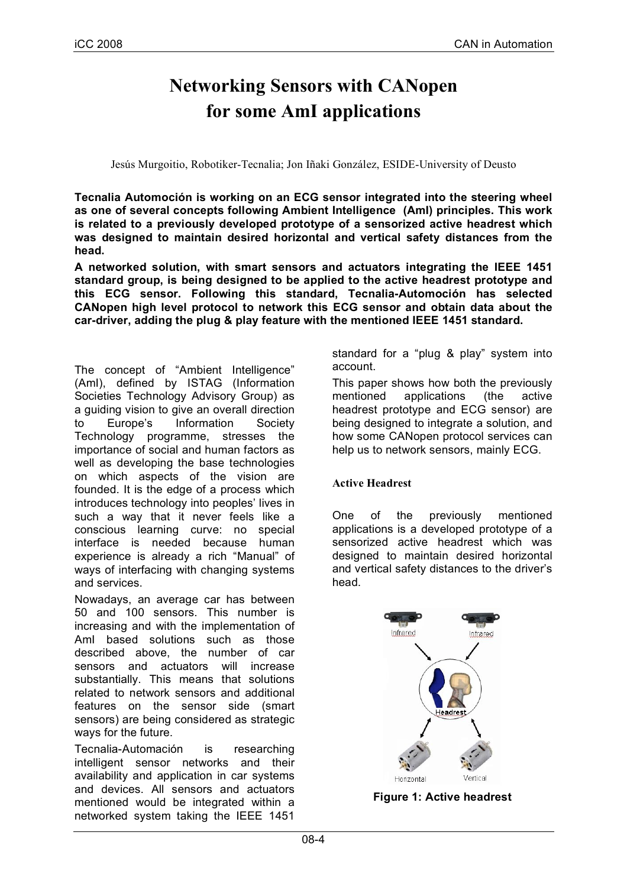# **Networking Sensors with CANopen for some AmI applications**

Jesús Murgoitio, Robotiker-Tecnalia; Jon Iñaki González, ESIDE-University of Deusto

**Tecnalia Automoción is working on an ECG sensor integrated into the steering wheel as one of several concepts following Ambient Intelligence (AmI) principles. This work is related to a previously developed prototype of a sensorized active headrest which was designed to maintain desired horizontal and vertical safety distances from the head.**

**A networked solution, with smart sensors and actuators integrating the IEEE 1451 standard group, is being designed to be applied to the active headrest prototype and this ECG sensor. Following this standard, Tecnalia-Automoción has selected CANopen high level protocol to network this ECG sensor and obtain data about the car-driver, adding the plug & play feature with the mentioned IEEE 1451 standard.**

The concept of "Ambient Intelligence" (AmI), defined by ISTAG (Information Societies Technology Advisory Group) as a guiding vision to give an overall direction to Europe's Information Society Technology programme, stresses the importance of social and human factors as well as developing the base technologies on which aspects of the vision are founded. It is the edge of a process which introduces technology into peoples' lives in such a way that it never feels like a conscious learning curve: no special interface is needed because human experience is already a rich "Manual" of ways of interfacing with changing systems and services.

Nowadays, an average car has between 50 and 100 sensors. This number is increasing and with the implementation of AmI based solutions such as those described above, the number of car sensors and actuators will increase substantially. This means that solutions related to network sensors and additional features on the sensor side (smart sensors) are being considered as strategic ways for the future.

Tecnalia-Automación is researching intelligent sensor networks and their availability and application in car systems and devices. All sensors and actuators mentioned would be integrated within a networked system taking the IEEE 1451

standard for a "plug & play" system into account.

This paper shows how both the previously mentioned applications (the active headrest prototype and ECG sensor) are being designed to integrate a solution, and how some CANopen protocol services can help us to network sensors, mainly ECG.

# **Active Headrest**

One of the previously mentioned applications is a developed prototype of a sensorized active headrest which was designed to maintain desired horizontal and vertical safety distances to the driver's head.



**Figure 1: Active headrest**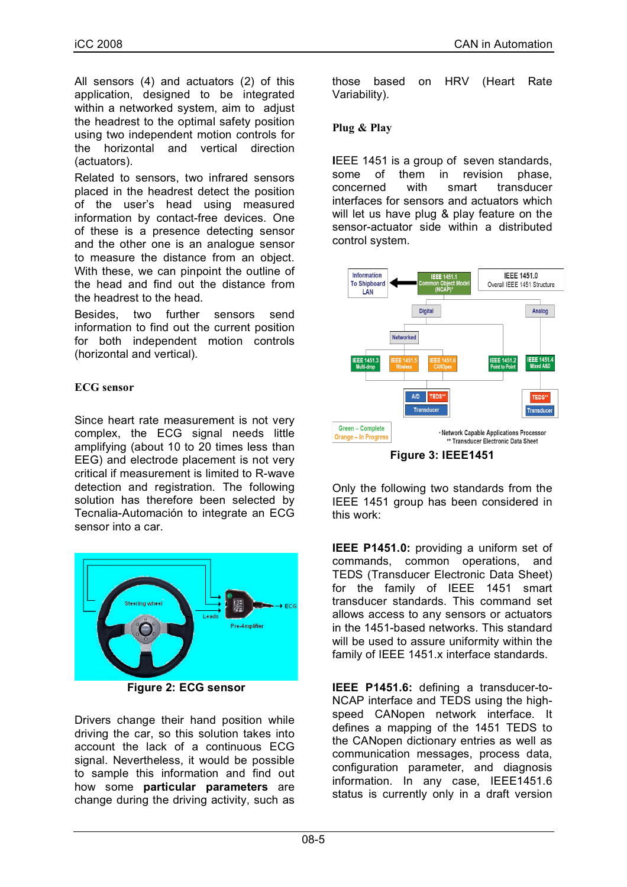All sensors (4) and actuators (2) of this application, designed to be integrated within a networked system, aim to adjust the headrest to the optimal safety position using two independent motion controls for the horizontal and vertical direction (actuators).

Related to sensors, two infrared sensors placed in the headrest detect the position of the user's head using measured information by contact-free devices. One of these is a presence detecting sensor and the other one is an analogue sensor to measure the distance from an object. With these, we can pinpoint the outline of the head and find out the distance from the headrest to the head.

Besides, two further sensors send information to find out the current position for both independent motion controls (horizontal and vertical).

# **ECG sensor**

Since heart rate measurement is not very complex, the ECG signal needs little amplifying (about 10 to 20 times less than EEG) and electrode placement is not very critical if measurement is limited to R-wave detection and registration. The following solution has therefore been selected by Tecnalia-Automación to integrate an ECG sensor into a car.



**Figure 2: ECG sensor**

Drivers change their hand position while driving the car, so this solution takes into account the lack of a continuous ECG signal. Nevertheless, it would be possible to sample this information and find out how some **particular parameters** are change during the driving activity, such as those based on HRV (Heart Rate Variability).

## **Plug & Play**

**I**EEE 1451 is a group of seven standards, some of them in revision phase, concerned with smart transducer interfaces for sensors and actuators which will let us have plug & play feature on the sensor-actuator side within a distributed control system.



Only the following two standards from the IEEE 1451 group has been considered in this work:

**IEEE P1451.0:** providing a uniform set of commands, common operations, and TEDS (Transducer Electronic Data Sheet) for the family of IEEE 1451 smart transducer standards. This command set allows access to any sensors or actuators in the 1451-based networks. This standard will be used to assure uniformity within the family of IEEE 1451.x interface standards.

**IEEE P1451.6:** defining a transducer-to-NCAP interface and TEDS using the highspeed CANopen network interface. It defines a mapping of the 1451 TEDS to the CANopen dictionary entries as well as communication messages, process data, configuration parameter, and diagnosis information. In any case, IEEE1451.6 status is currently only in a draft version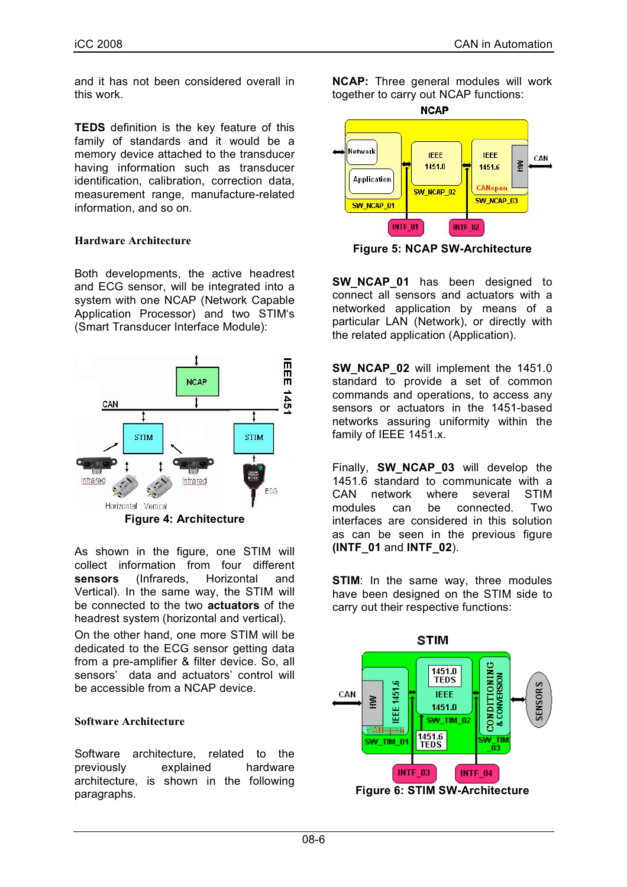and it has not been considered overall in this work.

**TEDS** definition is the key feature of this family of standards and it would be a memory device attached to the transducer having information such as transducer identification, calibration, correction data, measurement range, manufacture-related information, and so on.

### **Hardware Architecture**

Both developments, the active headrest and ECG sensor, will be integrated into a system with one NCAP (Network Capable Application Processor) and two STIM's (Smart Transducer Interface Module):



As shown in the figure, one STIM will collect information from four different **sensors** (Infrareds, Horizontal and Vertical). In the same way, the STIM will be connected to the two **actuators** of the headrest system (horizontal and vertical).

On the other hand, one more STIM will be dedicated to the ECG sensor getting data from a pre-amplifier & filter device. So, all sensors' data and actuators' control will be accessible from a NCAP device.

#### **Software Architecture**

Software architecture, related to the previously explained hardware architecture, is shown in the following paragraphs.

**NCAP:** Three general modules will work together to carry out NCAP functions:



**Figure 5: NCAP SW-Architecture**

**SW\_NCAP\_01** has been designed to connect all sensors and actuators with a networked application by means of a particular LAN (Network), or directly with the related application (Application).

**SW\_NCAP\_02** will implement the 1451.0 standard to provide a set of common commands and operations, to access any sensors or actuators in the 1451-based networks assuring uniformity within the family of IEEE 1451.x.

Finally, **SW\_NCAP\_03** will develop the 1451.6 standard to communicate with a CAN network where several STIM modules can be connected. Two interfaces are considered in this solution as can be seen in the previous figure **(INTF\_01** and **INTF\_02**).

**STIM:** In the same way, three modules have been designed on the STIM side to carry out their respective functions:

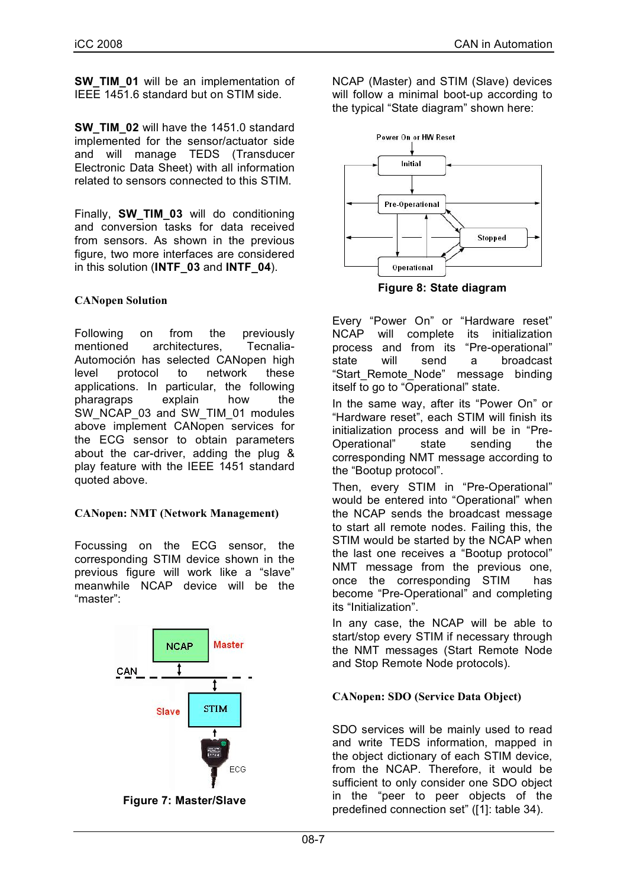**SW TIM 01** will be an implementation of IEEE 1451.6 standard but on STIM side.

**SW\_TIM\_02** will have the 1451.0 standard implemented for the sensor/actuator side and will manage TEDS (Transducer Electronic Data Sheet) with all information related to sensors connected to this STIM.

Finally, **SW\_TIM\_03** will do conditioning and conversion tasks for data received from sensors. As shown in the previous figure, two more interfaces are considered in this solution (**INTF\_03** and **INTF\_04**).

# **CANopen Solution**

Following on from the previously mentioned architectures, Tecnalia-Automoción has selected CANopen high level protocol to network these applications. In particular, the following pharagraps explain how the SW\_NCAP\_03 and SW\_TIM\_01 modules above implement CANopen services for the ECG sensor to obtain parameters about the car-driver, adding the plug & play feature with the IEEE 1451 standard quoted above.

# **CANopen: NMT (Network Management)**

Focussing on the ECG sensor, the corresponding STIM device shown in the previous figure will work like a "slave" meanwhile NCAP device will be the "master":



**Figure 7: Master/Slave**

NCAP (Master) and STIM (Slave) devices will follow a minimal boot-up according to the typical "State diagram" shown here:



**Figure 8: State diagram**

Every "Power On" or "Hardware reset" NCAP will complete its initialization process and from its "Pre-operational" state will send a broadcast "Start Remote\_Node" message binding itself to go to "Operational" state.

In the same way, after its "Power On" or "Hardware reset", each STIM will finish its initialization process and will be in "Pre-Operational" state sending the corresponding NMT message according to the "Bootup protocol".

Then, every STIM in "Pre-Operational" would be entered into "Operational" when the NCAP sends the broadcast message to start all remote nodes. Failing this, the STIM would be started by the NCAP when the last one receives a "Bootup protocol" NMT message from the previous one, once the corresponding STIM has become "Pre-Operational" and completing its "Initialization".

In any case, the NCAP will be able to start/stop every STIM if necessary through the NMT messages (Start Remote Node and Stop Remote Node protocols).

# **CANopen: SDO (Service Data Object)**

SDO services will be mainly used to read and write TEDS information, mapped in the object dictionary of each STIM device, from the NCAP. Therefore, it would be sufficient to only consider one SDO object in the "peer to peer objects of the predefined connection set" ([1]: table 34).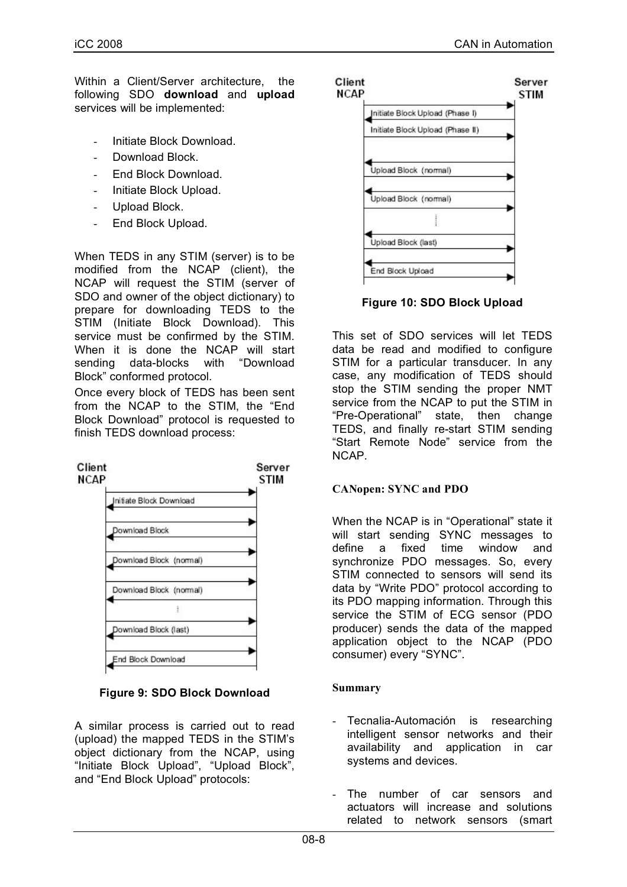Within a Client/Server architecture, the following SDO **download** and **upload** services will be implemented:

- Initiate Block Download.
- Download Block.
- End Block Download.
- Initiate Block Upload.
- Upload Block.
- End Block Upload.

When TEDS in any STIM (server) is to be modified from the NCAP (client), the NCAP will request the STIM (server of SDO and owner of the object dictionary) to prepare for downloading TEDS to the STIM (Initiate Block Download). This service must be confirmed by the STIM. When it is done the NCAP will start sending data-blocks with "Download Block" conformed protocol.

Once every block of TEDS has been sent from the NCAP to the STIM, the "End Block Download" protocol is requested to finish TEDS download process:



**Figure 9: SDO Block Download**

A similar process is carried out to read (upload) the mapped TEDS in the STIM's object dictionary from the NCAP, using "Initiate Block Upload", "Upload Block", and "End Block Upload" protocols:



**Figure 10: SDO Block Upload**

This set of SDO services will let TEDS data be read and modified to configure STIM for a particular transducer. In any case, any modification of TEDS should stop the STIM sending the proper NMT service from the NCAP to put the STIM in "Pre-Operational" state, then change TEDS, and finally re-start STIM sending "Start Remote Node" service from the NCAP.

# **CANopen: SYNC and PDO**

When the NCAP is in "Operational" state it will start sending SYNC messages to define a fixed time window and synchronize PDO messages. So, every STIM connected to sensors will send its data by "Write PDO" protocol according to its PDO mapping information. Through this service the STIM of ECG sensor (PDO producer) sends the data of the mapped application object to the NCAP (PDO consumer) every "SYNC".

# **Summary**

- Tecnalia-Automación is researching intelligent sensor networks and their availability and application in car systems and devices.
- The number of car sensors and actuators will increase and solutions related to network sensors (smart